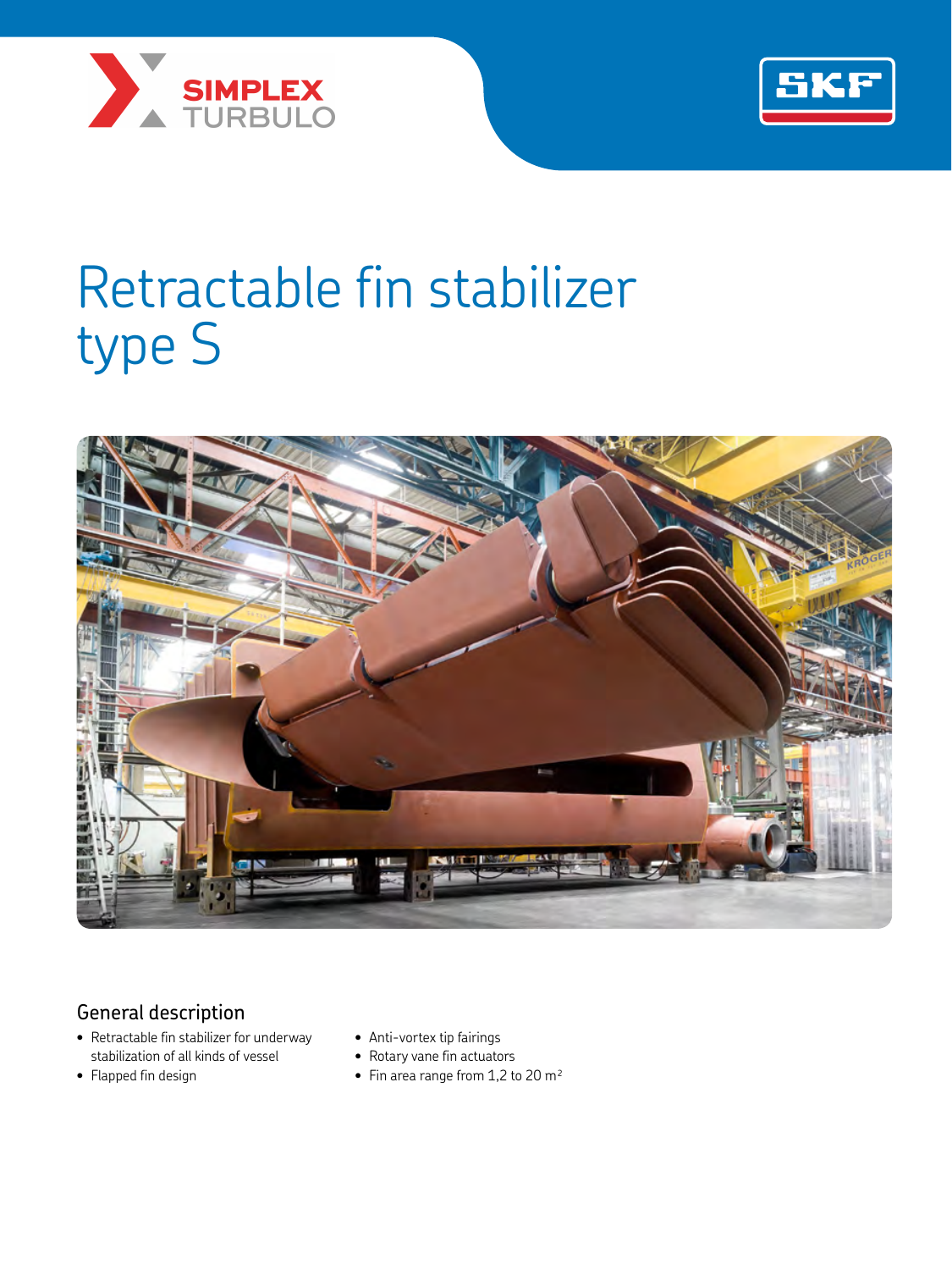



# Retractable fin stabilizer type S



## General description

- Retractable fin stabilizer for underway stabilization of all kinds of vessel
- Flapped fin design
- Anti-vortex tip fairings
- Rotary vane fin actuators
- Fin area range from 1,2 to 20 m<sup>2</sup>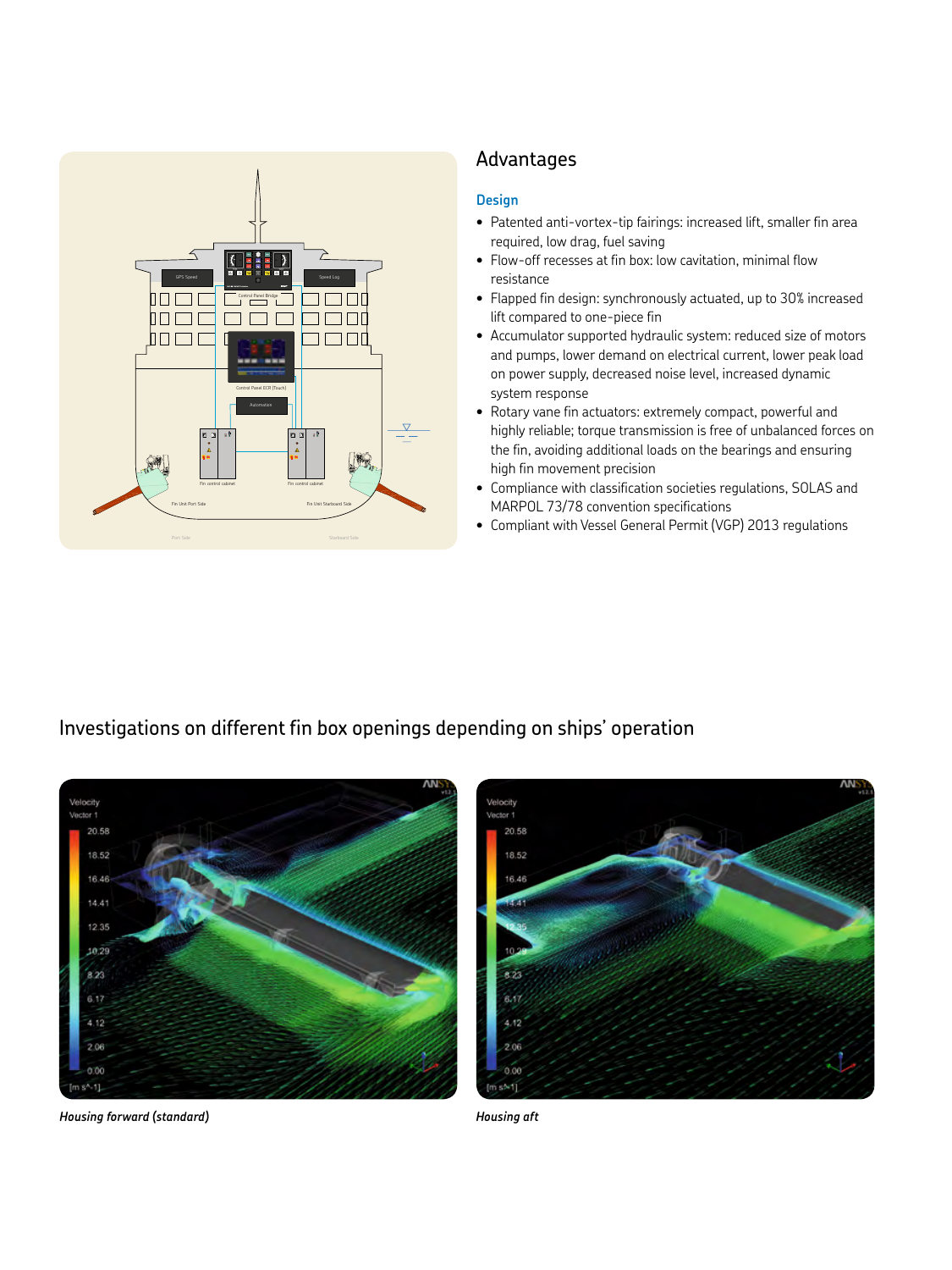

## Advantages

## **Design**

- Patented anti-vortex-tip fairings: increased lift, smaller fin area required, low drag, fuel saving
- Flow-off recesses at fin box: low cavitation, minimal flow resistance
- Flapped fin design: synchronously actuated, up to 30% increased lift compared to one-piece fin
- Accumulator supported hydraulic system: reduced size of motors and pumps, lower demand on electrical current, lower peak load on power supply, decreased noise level, increased dynamic system response
- Rotary vane fin actuators: extremely compact, powerful and highly reliable; torque transmission is free of unbalanced forces on the fin, avoiding additional loads on the bearings and ensuring high fin movement precision
- Compliance with classification societies regulations, SOLAS and MARPOL 73/78 convention specifications
- Compliant with Vessel General Permit (VGP) 2013 regulations

## Investigations on different fin box openings depending on ships' operation





*Housing forward (standard) Housing aft*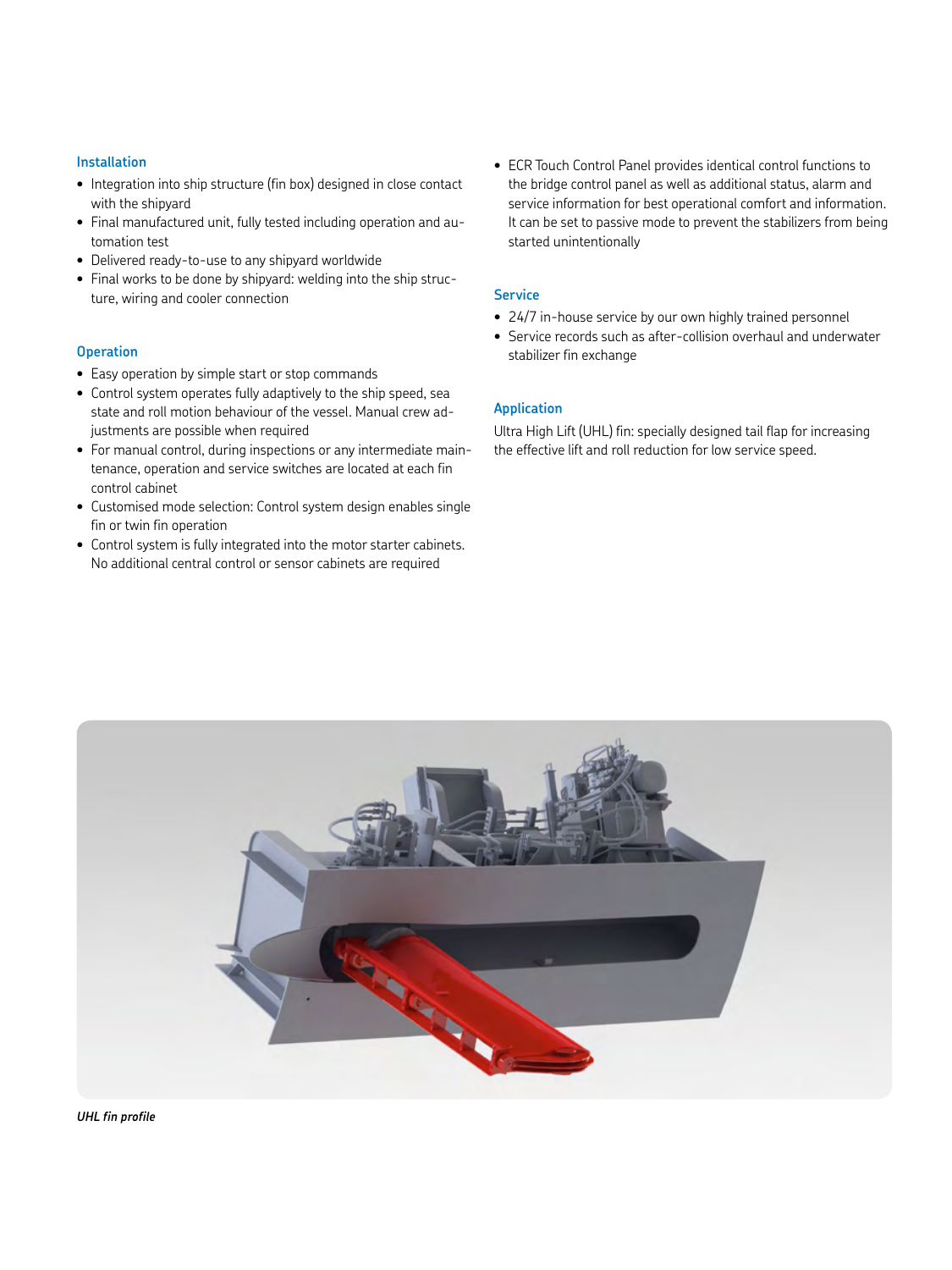### **Installation**

- Integration into ship structure (fin box) designed in close contact with the shipyard
- Final manufactured unit, fully tested including operation and automation test
- Delivered ready-to-use to any shipyard worldwide
- Final works to be done by shipyard: welding into the ship structure, wiring and cooler connection

#### **Operation**

- Easy operation by simple start or stop commands
- Control system operates fully adaptively to the ship speed, sea state and roll motion behaviour of the vessel. Manual crew adjustments are possible when required
- For manual control, during inspections or any intermediate maintenance, operation and service switches are located at each fin control cabinet
- Customised mode selection: Control system design enables single fin or twin fin operation
- Control system is fully integrated into the motor starter cabinets. No additional central control or sensor cabinets are required

• ECR Touch Control Panel provides identical control functions to the bridge control panel as well as additional status, alarm and service information for best operational comfort and information. It can be set to passive mode to prevent the stabilizers from being started unintentionally

#### **Service**

- 24/7 in-house service by our own highly trained personnel
- Service records such as after-collision overhaul and underwater stabilizer fin exchange

#### **Application**

Ultra High Lift (UHL) fin: specially designed tail flap for increasing the effective lift and roll reduction for low service speed.



*UHL fin profile*